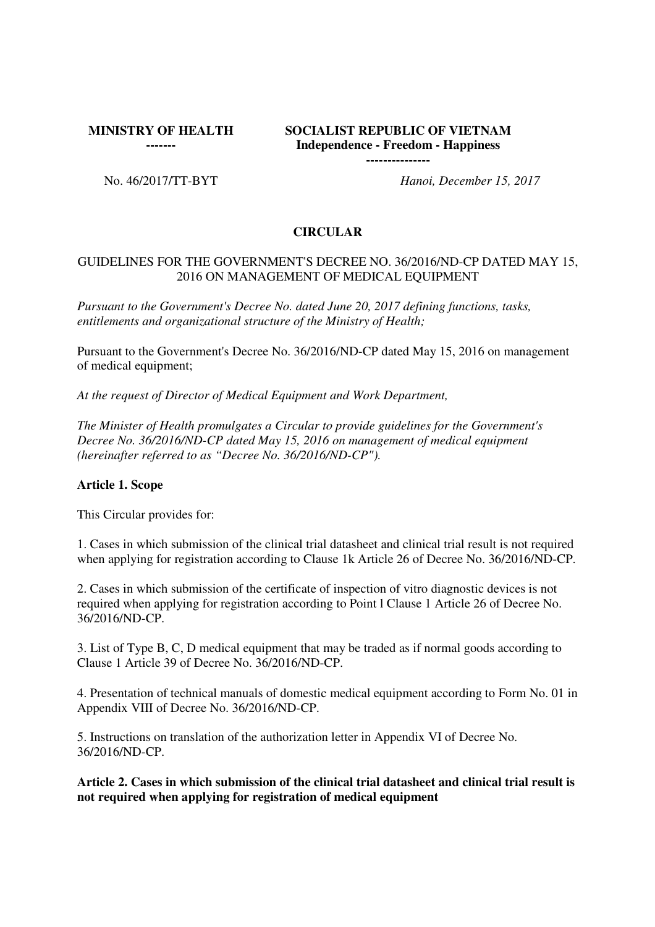**MINISTRY OF HEALTH** 

**-------**

# **SOCIALIST REPUBLIC OF VIETNAM Independence - Freedom - Happiness**

**---------------**

No. 46/2017/TT-BYT *Hanoi, December 15, 2017*

## **CIRCULAR**

#### GUIDELINES FOR THE GOVERNMENT'S DECREE NO. 36/2016/ND-CP DATED MAY 15, 2016 ON MANAGEMENT OF MEDICAL EQUIPMENT

*Pursuant to the Government's Decree No. dated June 20, 2017 defining functions, tasks, entitlements and organizational structure of the Ministry of Health;*

Pursuant to the Government's Decree No. 36/2016/ND-CP dated May 15, 2016 on management of medical equipment;

*At the request of Director of Medical Equipment and Work Department,*

*The Minister of Health promulgates a Circular to provide guidelines for the Government's Decree No. 36/2016/ND-CP dated May 15, 2016 on management of medical equipment (hereinafter referred to as "Decree No. 36/2016/ND-CP").*

### **Article 1. Scope**

This Circular provides for:

1. Cases in which submission of the clinical trial datasheet and clinical trial result is not required when applying for registration according to Clause 1k Article 26 of Decree No. 36/2016/ND-CP.

2. Cases in which submission of the certificate of inspection of vitro diagnostic devices is not required when applying for registration according to Point l Clause 1 Article 26 of Decree No. 36/2016/ND-CP.

3. List of Type B, C, D medical equipment that may be traded as if normal goods according to Clause 1 Article 39 of Decree No. 36/2016/ND-CP.

4. Presentation of technical manuals of domestic medical equipment according to Form No. 01 in Appendix VIII of Decree No. 36/2016/ND-CP.

5. Instructions on translation of the authorization letter in Appendix VI of Decree No. 36/2016/ND-CP.

**Article 2. Cases in which submission of the clinical trial datasheet and clinical trial result is not required when applying for registration of medical equipment**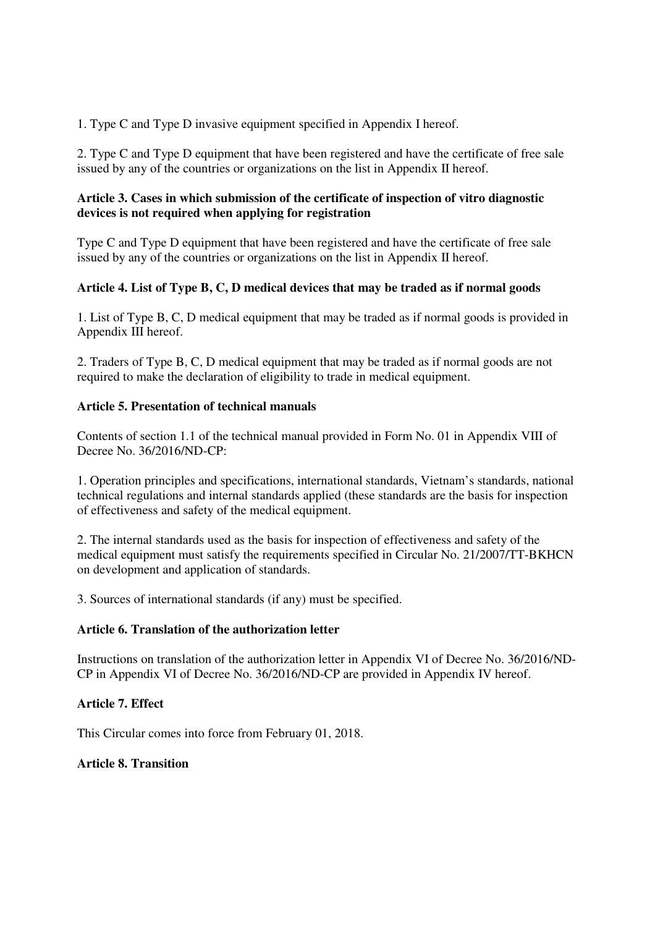1. Type C and Type D invasive equipment specified in Appendix I hereof.

2. Type C and Type D equipment that have been registered and have the certificate of free sale issued by any of the countries or organizations on the list in Appendix II hereof.

## **Article 3. Cases in which submission of the certificate of inspection of vitro diagnostic devices is not required when applying for registration**

Type C and Type D equipment that have been registered and have the certificate of free sale issued by any of the countries or organizations on the list in Appendix II hereof.

## **Article 4. List of Type B, C, D medical devices that may be traded as if normal goods**

1. List of Type B, C, D medical equipment that may be traded as if normal goods is provided in Appendix III hereof.

2. Traders of Type B, C, D medical equipment that may be traded as if normal goods are not required to make the declaration of eligibility to trade in medical equipment.

### **Article 5. Presentation of technical manuals**

Contents of section 1.1 of the technical manual provided in Form No. 01 in Appendix VIII of Decree No. 36/2016/ND-CP:

1. Operation principles and specifications, international standards, Vietnam's standards, national technical regulations and internal standards applied (these standards are the basis for inspection of effectiveness and safety of the medical equipment.

2. The internal standards used as the basis for inspection of effectiveness and safety of the medical equipment must satisfy the requirements specified in Circular No. 21/2007/TT-BKHCN on development and application of standards.

3. Sources of international standards (if any) must be specified.

### **Article 6. Translation of the authorization letter**

Instructions on translation of the authorization letter in Appendix VI of Decree No. 36/2016/ND-CP in Appendix VI of Decree No. 36/2016/ND-CP are provided in Appendix IV hereof.

### **Article 7. Effect**

This Circular comes into force from February 01, 2018.

### **Article 8. Transition**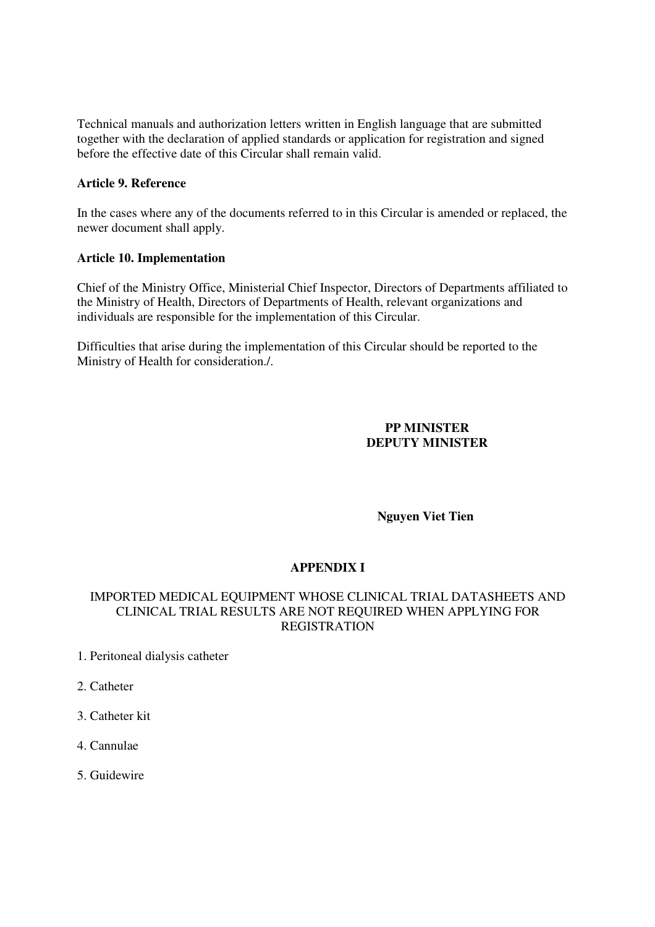Technical manuals and authorization letters written in English language that are submitted together with the declaration of applied standards or application for registration and signed before the effective date of this Circular shall remain valid.

### **Article 9. Reference**

In the cases where any of the documents referred to in this Circular is amended or replaced, the newer document shall apply.

#### **Article 10. Implementation**

Chief of the Ministry Office, Ministerial Chief Inspector, Directors of Departments affiliated to the Ministry of Health, Directors of Departments of Health, relevant organizations and individuals are responsible for the implementation of this Circular.

Difficulties that arise during the implementation of this Circular should be reported to the Ministry of Health for consideration./.

#### **PP MINISTER DEPUTY MINISTER**

**Nguyen Viet Tien** 

### **APPENDIX I**

### IMPORTED MEDICAL EQUIPMENT WHOSE CLINICAL TRIAL DATASHEETS AND CLINICAL TRIAL RESULTS ARE NOT REQUIRED WHEN APPLYING FOR REGISTRATION

- 1. Peritoneal dialysis catheter
- 2. Catheter
- 3. Catheter kit
- 4. Cannulae
- 5. Guidewire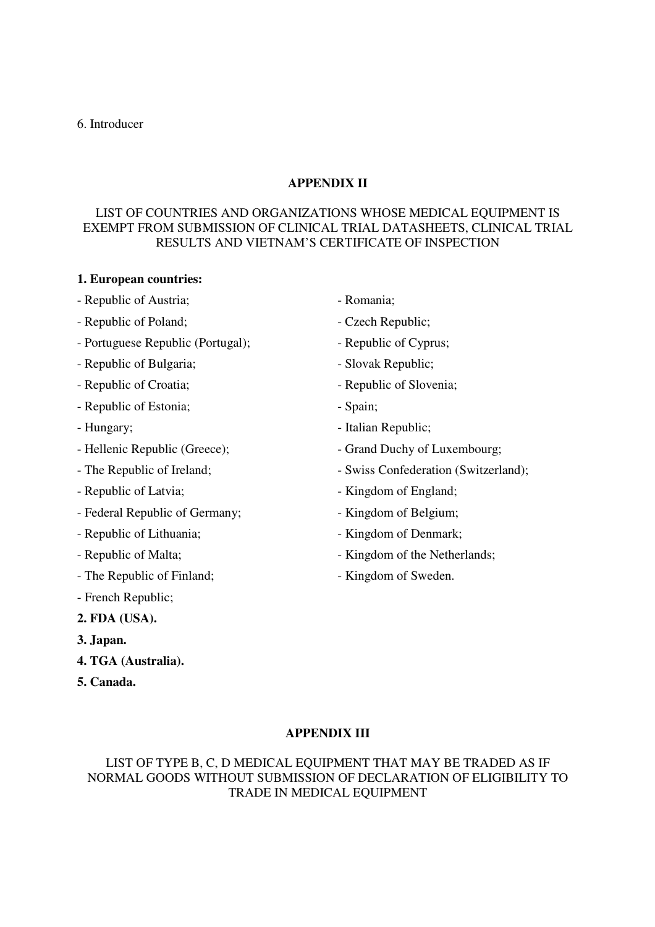#### 6. Introducer

## **APPENDIX II**

## LIST OF COUNTRIES AND ORGANIZATIONS WHOSE MEDICAL EQUIPMENT IS EXEMPT FROM SUBMISSION OF CLINICAL TRIAL DATASHEETS, CLINICAL TRIAL RESULTS AND VIETNAM'S CERTIFICATE OF INSPECTION

#### **1. European countries:**

- Republic of Austria; extending the Romania;
- Republic of Poland;  $\qquad \qquad$  Czech Republic;
- Portuguese Republic (Portugal); Republic of Cyprus;
- Republic of Bulgaria;  $\qquad \qquad$  Slovak Republic;
- 
- Republic of Estonia;  $\blacksquare$
- 
- 
- 
- 
- Federal Republic of Germany;  $\blacksquare$  Kingdom of Belgium;
- Republic of Lithuania;  $\blacksquare$
- 
- The Republic of Finland;  $\blacksquare$
- French Republic;
- **2. FDA (USA).**
- **3. Japan.**
- **4. TGA (Australia).**
- **5. Canada.**
- 
- 
- 
- 
- Republic of Croatia;  $\blacksquare$ 
	-
- Hungary;  $\blacksquare$
- Hellenic Republic (Greece);  $\qquad \qquad$  Grand Duchy of Luxembourg;
- The Republic of Ireland;  $-$  Swiss Confederation (Switzerland);
- Republic of Latvia;  $\blacksquare$ 
	-
	-
- Republic of Malta;  $\blacksquare$ 
	-

**APPENDIX III**

## LIST OF TYPE B, C, D MEDICAL EQUIPMENT THAT MAY BE TRADED AS IF NORMAL GOODS WITHOUT SUBMISSION OF DECLARATION OF ELIGIBILITY TO TRADE IN MEDICAL EQUIPMENT